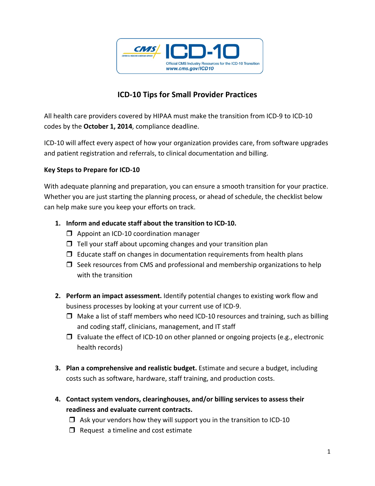

## **ICD‐10 Tips for Small Provider Practices**

All health care providers covered by HIPAA must make the transition from ICD‐9 to ICD‐10 codes by the **October 1, 2014**, compliance deadline.

ICD‐10 will affect every aspect of how your organization provides care, from software upgrades and patient registration and referrals, to clinical documentation and billing.

## **Key Steps to Prepare for ICD‐10**

With adequate planning and preparation, you can ensure a smooth transition for your practice. Whether you are just starting the planning process, or ahead of schedule, the checklist below can help make sure you keep your efforts on track.

- **1. Inform and educate staff about the transition to ICD‐10.** 
	- □ Appoint an ICD-10 coordination manager
	- $\Box$  Tell your staff about upcoming changes and your transition plan
	- $\Box$  Educate staff on changes in documentation requirements from health plans
	- $\Box$  Seek resources from CMS and professional and membership organizations to help with the transition
- **2. Perform an impact assessment.** Identify potential changes to existing work flow and business processes by looking at your current use of ICD‐9.
	- □ Make a list of staff members who need ICD-10 resources and training, such as billing and coding staff, clinicians, management, and IT staff
	- $\Box$  Evaluate the effect of ICD-10 on other planned or ongoing projects (e.g., electronic health records)
- **3. Plan a comprehensive and realistic budget.** Estimate and secure a budget, including costs such as software, hardware, staff training, and production costs.
- **4. Contact system vendors, clearinghouses, and/or billing services to assess their readiness and evaluate current contracts.** 
	- $\Box$  Ask your vendors how they will support you in the transition to ICD-10
	- $\Box$  Request a timeline and cost estimate